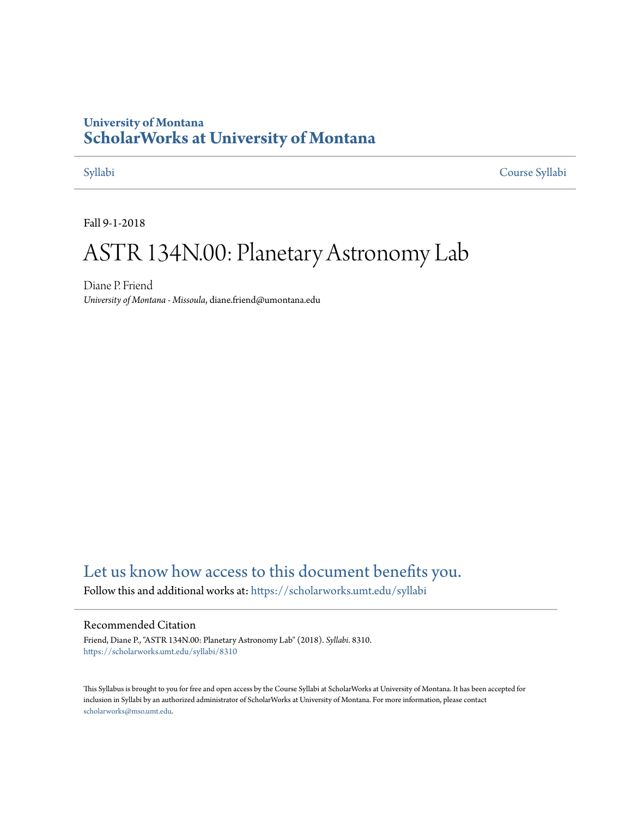### **University of Montana [ScholarWorks at University of Montana](https://scholarworks.umt.edu?utm_source=scholarworks.umt.edu%2Fsyllabi%2F8310&utm_medium=PDF&utm_campaign=PDFCoverPages)**

[Syllabi](https://scholarworks.umt.edu/syllabi?utm_source=scholarworks.umt.edu%2Fsyllabi%2F8310&utm_medium=PDF&utm_campaign=PDFCoverPages) [Course Syllabi](https://scholarworks.umt.edu/course_syllabi?utm_source=scholarworks.umt.edu%2Fsyllabi%2F8310&utm_medium=PDF&utm_campaign=PDFCoverPages)

Fall 9-1-2018

# ASTR 134N.00: Planetary Astronomy Lab

Diane P. Friend *University of Montana - Missoula*, diane.friend@umontana.edu

### [Let us know how access to this document benefits you.](https://goo.gl/forms/s2rGfXOLzz71qgsB2)

Follow this and additional works at: [https://scholarworks.umt.edu/syllabi](https://scholarworks.umt.edu/syllabi?utm_source=scholarworks.umt.edu%2Fsyllabi%2F8310&utm_medium=PDF&utm_campaign=PDFCoverPages)

#### Recommended Citation

Friend, Diane P., "ASTR 134N.00: Planetary Astronomy Lab" (2018). *Syllabi*. 8310. [https://scholarworks.umt.edu/syllabi/8310](https://scholarworks.umt.edu/syllabi/8310?utm_source=scholarworks.umt.edu%2Fsyllabi%2F8310&utm_medium=PDF&utm_campaign=PDFCoverPages)

This Syllabus is brought to you for free and open access by the Course Syllabi at ScholarWorks at University of Montana. It has been accepted for inclusion in Syllabi by an authorized administrator of ScholarWorks at University of Montana. For more information, please contact [scholarworks@mso.umt.edu](mailto:scholarworks@mso.umt.edu).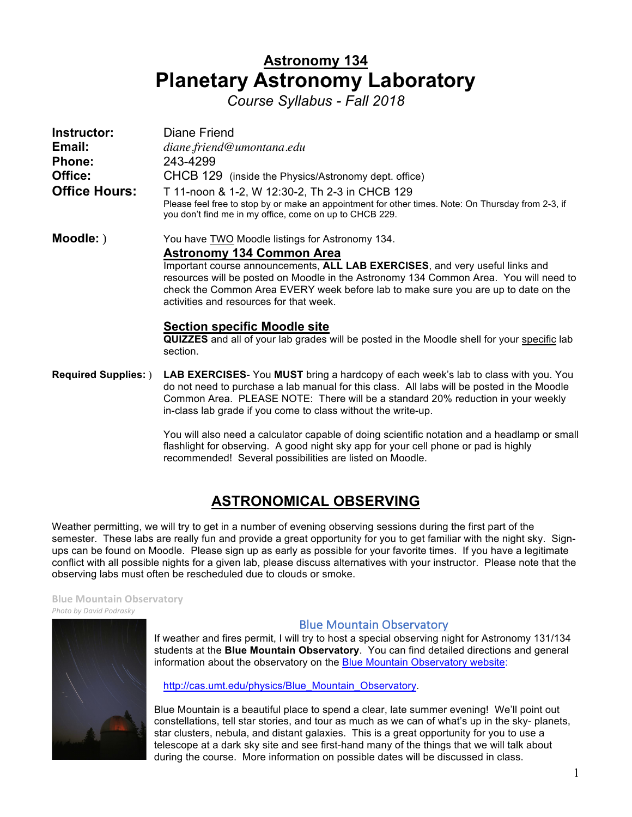## **Astronomy 134 Planetary Astronomy Laboratory**

 *Course Syllabus - Fall 2018* 

| Instructor:<br>Email:<br><b>Phone:</b><br>Office:<br><b>Office Hours:</b> | Diane Friend<br>diane.friend@umontana.edu<br>243-4299<br>CHCB 129 (inside the Physics/Astronomy dept. office)<br>T 11-noon & 1-2, W 12:30-2, Th 2-3 in CHCB 129<br>Please feel free to stop by or make an appointment for other times. Note: On Thursday from 2-3, if<br>you don't find me in my office, come on up to CHCB 229.                                                              |
|---------------------------------------------------------------------------|-----------------------------------------------------------------------------------------------------------------------------------------------------------------------------------------------------------------------------------------------------------------------------------------------------------------------------------------------------------------------------------------------|
| Moodle: )                                                                 | You have TWO Moodle listings for Astronomy 134.<br><b>Astronomy 134 Common Area</b><br>Important course announcements, ALL LAB EXERCISES, and very useful links and<br>resources will be posted on Moodle in the Astronomy 134 Common Area. You will need to<br>check the Common Area EVERY week before lab to make sure you are up to date on the<br>activities and resources for that week. |
|                                                                           | <b>Section specific Moodle site</b><br><b>QUIZZES</b> and all of your lab grades will be posted in the Moodle shell for your specific lab<br>section.                                                                                                                                                                                                                                         |
| <b>Required Supplies:</b> )                                               | <b>LAB EXERCISES-</b> You MUST bring a hardcopy of each week's lab to class with you. You<br>do not need to purchase a lab manual for this class. All labs will be posted in the Moodle<br>Common Area. PLEASE NOTE: There will be a standard 20% reduction in your weekly<br>in-class lab grade if you come to class without the write-up.                                                   |

 You will also need a calculator capable of doing scientific notation and a headlamp or small flashlight for observing. A good night sky app for your cell phone or pad is highly recommended! Several possibilities are listed on Moodle.

### **ASTRONOMICAL OBSERVING**

 Weather permitting, we will try to get in a number of evening observing sessions during the first part of the semester. These labs are really fun and provide a great opportunity for you to get familiar with the night sky. Sign- ups can be found on Moodle. Please sign up as early as possible for your favorite times. If you have a legitimate conflict with all possible nights for a given lab, please discuss alternatives with your instructor. Please note that the observing labs must often be rescheduled due to clouds or smoke.

#### *<i>Mhoto by David Podrasky* **Blue Mountain Observatory**

#### **Blue Mountain Observatory**

 students at the **Blue Mountain Observatory**. You can find detailed directions and general information about the observatory on the Blue Mountain Observatory website: If weather and fires permit, I will try to host a special observing night for Astronomy 131/134

http://cas.umt.edu/physics/Blue\_Mountain\_Observatory.

 Blue Mountain is a beautiful place to spend a clear, late summer evening! We'll point out constellations, tell star stories, and tour as much as we can of what's up in the sky- planets, star clusters, nebula, and distant galaxies. This is a great opportunity for you to use a telescope at a dark sky site and see first-hand many of the things that we will talk about during the course. More information on possible dates will be discussed in class.

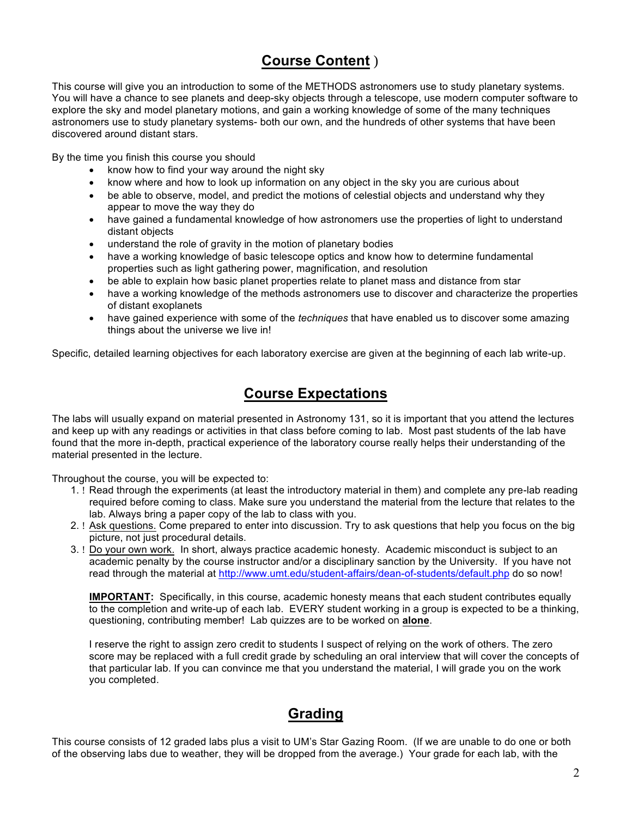### **Course Content** )

 This course will give you an introduction to some of the METHODS astronomers use to study planetary systems. You will have a chance to see planets and deep-sky objects through a telescope, use modern computer software to explore the sky and model planetary motions, and gain a working knowledge of some of the many techniques astronomers use to study planetary systems- both our own, and the hundreds of other systems that have been discovered around distant stars.

By the time you finish this course you should

- know how to find your way around the night sky
- • know where and how to look up information on any object in the sky you are curious about
- be able to observe, model, and predict the motions of celestial objects and understand why they appear to move the way they do
- have gained a fundamental knowledge of how astronomers use the properties of light to understand distant objects
- understand the role of gravity in the motion of planetary bodies
- have a working knowledge of basic telescope optics and know how to determine fundamental properties such as light gathering power, magnification, and resolution
- be able to explain how basic planet properties relate to planet mass and distance from star
- of distant exoplanets have a working knowledge of the methods astronomers use to discover and characterize the properties
- • have gained experience with some of the *techniques* that have enabled us to discover some amazing things about the universe we live in!

Specific, detailed learning objectives for each laboratory exercise are given at the beginning of each lab write-up.

### **Course Expectations**

 The labs will usually expand on material presented in Astronomy 131, so it is important that you attend the lectures and keep up with any readings or activities in that class before coming to lab. Most past students of the lab have found that the more in-depth, practical experience of the laboratory course really helps their understanding of the material presented in the lecture.

Throughout the course, you will be expected to:

- 1. ! Read through the experiments (at least the introductory material in them) and complete any pre-lab reading required before coming to class. Make sure you understand the material from the lecture that relates to the lab. Always bring a paper copy of the lab to class with you.
- 2. ! Ask questions. Come prepared to enter into discussion. Try to ask questions that help you focus on the big picture, not just procedural details.
- 3. ! Do your own work. In short, always practice academic honesty. Academic misconduct is subject to an academic penalty by the course instructor and/or a disciplinary sanction by the University. If you have not read through the material at http://www.umt.edu/student-affairs/dean-of-students/default.php do so now!

**IMPORTANT:** Specifically, in this course, academic honesty means that each student contributes equally to the completion and write-up of each lab. EVERY student working in a group is expected to be a thinking, questioning, contributing member! Lab quizzes are to be worked on **alone**.

I reserve the right to assign zero credit to students I suspect of relying on the work of others. The zero score may be replaced with a full credit grade by scheduling an oral interview that will cover the concepts of that particular lab. If you can convince me that you understand the material, I will grade you on the work you completed.

### **Grading**

 This course consists of 12 graded labs plus a visit to UM's Star Gazing Room. (If we are unable to do one or both of the observing labs due to weather, they will be dropped from the average.) Your grade for each lab, with the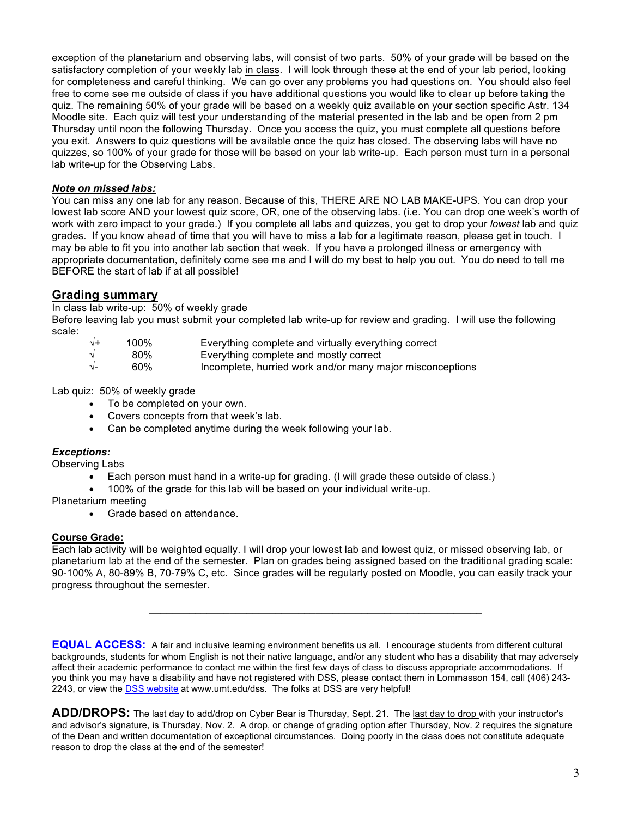exception of the planetarium and observing labs, will consist of two parts. 50% of your grade will be based on the satisfactory completion of your weekly lab <u>in class</u>. I will look through these at the end of your lab period, looking for completeness and careful thinking. We can go over any problems you had questions on. You should also feel free to come see me outside of class if you have additional questions you would like to clear up before taking the quiz. The remaining 50% of your grade will be based on a weekly quiz available on your section specific Astr. 134 Moodle site. Each quiz will test your understanding of the material presented in the lab and be open from 2 pm Thursday until noon the following Thursday. Once you access the quiz, you must complete all questions before you exit. Answers to quiz questions will be available once the quiz has closed. The observing labs will have no quizzes, so 100% of your grade for those will be based on your lab write-up. Each person must turn in a personal lab write-up for the Observing Labs.

#### *Note on missed labs:*

 You can miss any one lab for any reason. Because of this, THERE ARE NO LAB MAKE-UPS. You can drop your lowest lab score AND your lowest quiz score, OR, one of the observing labs. (i.e. You can drop one week's worth of work with zero impact to your grade.) If you complete all labs and quizzes, you get to drop your *lowest* lab and quiz grades. If you know ahead of time that you will have to miss a lab for a legitimate reason, please get in touch. I may be able to fit you into another lab section that week. If you have a prolonged illness or emergency with appropriate documentation, definitely come see me and I will do my best to help you out. You do need to tell me BEFORE the start of lab if at all possible!

#### **Grading summary**

In class lab write-up: 50% of weekly grade

Before leaving lab you must submit your completed lab write-up for review and grading. I will use the following scale:

| $\sqrt{+}$ | 100% | Everything complete and virtually everything correct      |
|------------|------|-----------------------------------------------------------|
| $\sqrt{ }$ | 80%  | Everything complete and mostly correct                    |
| $\sqrt{-}$ | 60%  | Incomplete, hurried work and/or many major misconceptions |

Lab quiz: 50% of weekly grade

- To be completed on your own.
- Covers concepts from that week's lab.
- Can be completed anytime during the week following your lab.

#### *Exceptions:*

Observing Labs

- Each person must hand in a write-up for grading. (I will grade these outside of class.)
- 100% of the grade for this lab will be based on your individual write-up.

Planetarium meeting

• Grade based on attendance.

#### **Course Grade:**

Each lab activity will be weighted equally. I will drop your lowest lab and lowest quiz, or missed observing lab, or planetarium lab at the end of the semester. Plan on grades being assigned based on the traditional grading scale: 90-100% A, 80-89% B, 70-79% C, etc. Since grades will be regularly posted on Moodle, you can easily track your progress throughout the semester.

 $\_$  , and the set of the set of the set of the set of the set of the set of the set of the set of the set of the set of the set of the set of the set of the set of the set of the set of the set of the set of the set of th

**EQUAL ACCESS:** A fair and inclusive learning environment benefits us all. I encourage students from different cultural backgrounds, students for whom English is not their native language, and/or any student who has a disability that may adversely affect their academic performance to contact me within the first few days of class to discuss appropriate accommodations. If you think you may have a disability and have not registered with DSS, please contact them in Lommasson 154, call (406) 243- 2243, or view the DSS website at www.umt.edu/dss. The folks at DSS are very helpful!

**ADD/DROPS:** The last day to add/drop on Cyber Bear is Thursday, Sept. 21. The last day to drop with your instructor's and advisor's signature, is Thursday, Nov. 2. A drop, or change of grading option after Thursday, Nov. 2 requires the signature of the Dean and written documentation of exceptional circumstances. Doing poorly in the class does not constitute adequate reason to drop the class at the end of the semester!